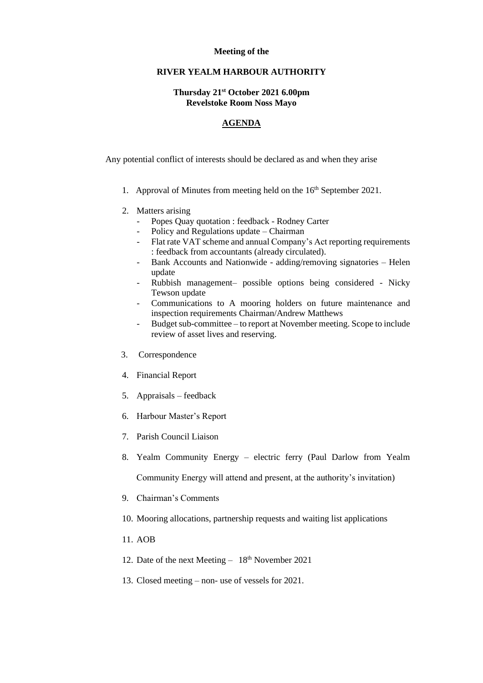## **Meeting of the**

## **RIVER YEALM HARBOUR AUTHORITY**

## **Thursday 21st October 2021 6.00pm Revelstoke Room Noss Mayo**

## **AGENDA**

Any potential conflict of interests should be declared as and when they arise

- 1. Approval of Minutes from meeting held on the  $16<sup>th</sup>$  September 2021.
- 2. Matters arising
	- Popes Quay quotation : feedback Rodney Carter
	- Policy and Regulations update Chairman
	- Flat rate VAT scheme and annual Company's Act reporting requirements : feedback from accountants (already circulated).
	- Bank Accounts and Nationwide adding/removing signatories Helen update
	- Rubbish management– possible options being considered Nicky Tewson update
	- Communications to A mooring holders on future maintenance and inspection requirements Chairman/Andrew Matthews
	- Budget sub-committee to report at November meeting. Scope to include review of asset lives and reserving.
- 3. Correspondence
- 4. Financial Report
- 5. Appraisals feedback
- 6. Harbour Master's Report
- 7. Parish Council Liaison
- 8. Yealm Community Energy electric ferry (Paul Darlow from Yealm Community Energy will attend and present, at the authority's invitation)
- 9. Chairman's Comments
- 10. Mooring allocations, partnership requests and waiting list applications
- 11. AOB
- 12. Date of the next Meeting  $-18^{th}$  November 2021
- 13. Closed meeting non- use of vessels for 2021.